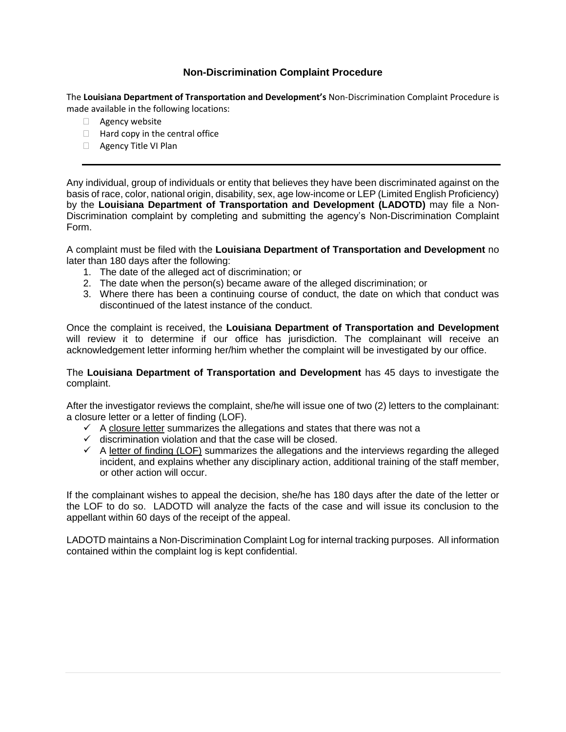## **Non-Discrimination Complaint Procedure**

The **Louisiana Department of Transportation and Development's** Non-Discrimination Complaint Procedure is made available in the following locations:

- □ Agency website
- $\Box$  Hard copy in the central office
- Agency Title VI Plan

Any individual, group of individuals or entity that believes they have been discriminated against on the basis of race, color, national origin, disability, sex, age low-income or LEP (Limited English Proficiency) by the **Louisiana Department of Transportation and Development (LADOTD)** may file a Non-Discrimination complaint by completing and submitting the agency's Non-Discrimination Complaint Form.

A complaint must be filed with the **Louisiana Department of Transportation and Development** no later than 180 days after the following:

- 1. The date of the alleged act of discrimination; or
- 2. The date when the person(s) became aware of the alleged discrimination; or
- 3. Where there has been a continuing course of conduct, the date on which that conduct was discontinued of the latest instance of the conduct.

Once the complaint is received, the **Louisiana Department of Transportation and Development** will review it to determine if our office has jurisdiction. The complainant will receive an acknowledgement letter informing her/him whether the complaint will be investigated by our office.

The **Louisiana Department of Transportation and Development** has 45 days to investigate the complaint.

After the investigator reviews the complaint, she/he will issue one of two (2) letters to the complainant: a closure letter or a letter of finding (LOF).

- $\checkmark$  A closure letter summarizes the allegations and states that there was not a
- $\checkmark$  discrimination violation and that the case will be closed.
- $\checkmark$  A letter of finding (LOF) summarizes the allegations and the interviews regarding the alleged incident, and explains whether any disciplinary action, additional training of the staff member, or other action will occur.

If the complainant wishes to appeal the decision, she/he has 180 days after the date of the letter or the LOF to do so. LADOTD will analyze the facts of the case and will issue its conclusion to the appellant within 60 days of the receipt of the appeal.

LADOTD maintains a Non-Discrimination Complaint Log for internal tracking purposes. All information contained within the complaint log is kept confidential.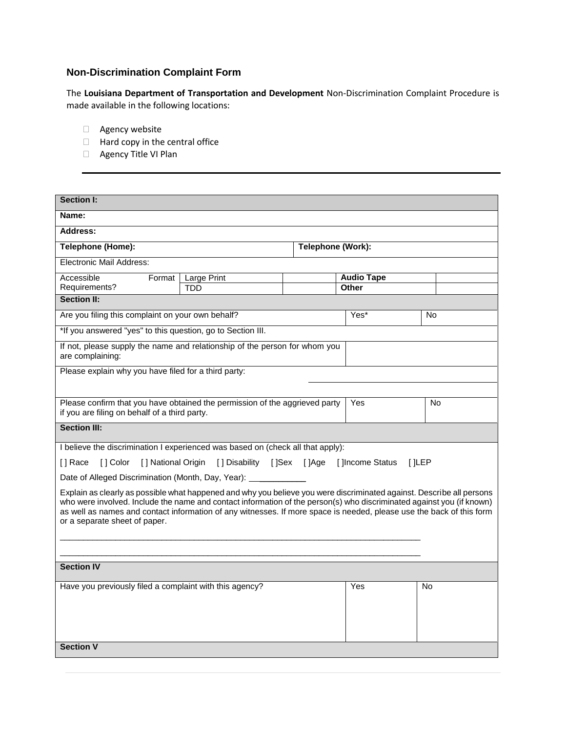## **Non-Discrimination Complaint Form**

The **Louisiana Department of Transportation and Development** Non-Discrimination Complaint Procedure is made available in the following locations:

- Agency website
- $\Box$  Hard copy in the central office
- Agency Title VI Plan

| <b>Section I:</b>                                                                                                                                                                                                                                                                                                                                                                                       |             |                   |                   |           |  |
|---------------------------------------------------------------------------------------------------------------------------------------------------------------------------------------------------------------------------------------------------------------------------------------------------------------------------------------------------------------------------------------------------------|-------------|-------------------|-------------------|-----------|--|
| Name:                                                                                                                                                                                                                                                                                                                                                                                                   |             |                   |                   |           |  |
| <b>Address:</b>                                                                                                                                                                                                                                                                                                                                                                                         |             |                   |                   |           |  |
| Telephone (Home):                                                                                                                                                                                                                                                                                                                                                                                       |             | Telephone (Work): |                   |           |  |
| Electronic Mail Address:                                                                                                                                                                                                                                                                                                                                                                                |             |                   |                   |           |  |
| Accessible<br>Format                                                                                                                                                                                                                                                                                                                                                                                    | Large Print |                   | <b>Audio Tape</b> |           |  |
| Requirements?                                                                                                                                                                                                                                                                                                                                                                                           | TDD         |                   | <b>Other</b>      |           |  |
| <b>Section II:</b>                                                                                                                                                                                                                                                                                                                                                                                      |             |                   |                   |           |  |
| Are you filing this complaint on your own behalf?                                                                                                                                                                                                                                                                                                                                                       |             | Yes*              | No                |           |  |
| *If you answered "yes" to this question, go to Section III.                                                                                                                                                                                                                                                                                                                                             |             |                   |                   |           |  |
| If not, please supply the name and relationship of the person for whom you<br>are complaining:                                                                                                                                                                                                                                                                                                          |             |                   |                   |           |  |
| Please explain why you have filed for a third party:                                                                                                                                                                                                                                                                                                                                                    |             |                   |                   |           |  |
|                                                                                                                                                                                                                                                                                                                                                                                                         |             |                   |                   |           |  |
| Please confirm that you have obtained the permission of the aggrieved party<br>if you are filing on behalf of a third party.                                                                                                                                                                                                                                                                            |             |                   | Yes               | No        |  |
| <b>Section III:</b>                                                                                                                                                                                                                                                                                                                                                                                     |             |                   |                   |           |  |
| I believe the discrimination I experienced was based on (check all that apply):                                                                                                                                                                                                                                                                                                                         |             |                   |                   |           |  |
| [ ] Color<br>[] National Origin [] Disability [] Sex [] Age [] Income Status<br>I I Race<br>I JLEP                                                                                                                                                                                                                                                                                                      |             |                   |                   |           |  |
| Date of Alleged Discrimination (Month, Day, Year): ______                                                                                                                                                                                                                                                                                                                                               |             |                   |                   |           |  |
| Explain as clearly as possible what happened and why you believe you were discriminated against. Describe all persons<br>who were involved. Include the name and contact information of the person(s) who discriminated against you (if known)<br>as well as names and contact information of any witnesses. If more space is needed, please use the back of this form<br>or a separate sheet of paper. |             |                   |                   |           |  |
|                                                                                                                                                                                                                                                                                                                                                                                                         |             |                   |                   |           |  |
| <b>Section IV</b>                                                                                                                                                                                                                                                                                                                                                                                       |             |                   |                   |           |  |
| Have you previously filed a complaint with this agency?                                                                                                                                                                                                                                                                                                                                                 |             |                   | Yes               | <b>No</b> |  |
| <b>Section V</b>                                                                                                                                                                                                                                                                                                                                                                                        |             |                   |                   |           |  |